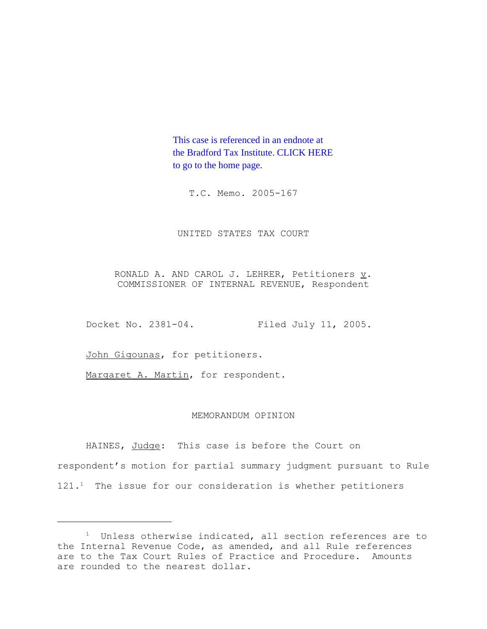This case is referenced in an endnote at [the Bradford Tax Institute. CLICK HERE](http://www.bradfordtaxinstitute.com/)  to go to the home page.

T.C. Memo. 2005-167

UNITED STATES TAX COURT

RONALD A. AND CAROL J. LEHRER, Petitioners  $\underline{v}$ . COMMISSIONER OF INTERNAL REVENUE, Respondent

Docket No. 2381-04. Filed July 11, 2005.

John Gigounas, for petitioners.

Margaret A. Martin, for respondent.

## MEMORANDUM OPINION

HAINES, Judge: This case is before the Court on respondent's motion for partial summary judgment pursuant to Rule  $121.^1$  The issue for our consideration is whether petitioners

 $1$  Unless otherwise indicated, all section references are to the Internal Revenue Code, as amended, and all Rule references are to the Tax Court Rules of Practice and Procedure. Amounts are rounded to the nearest dollar.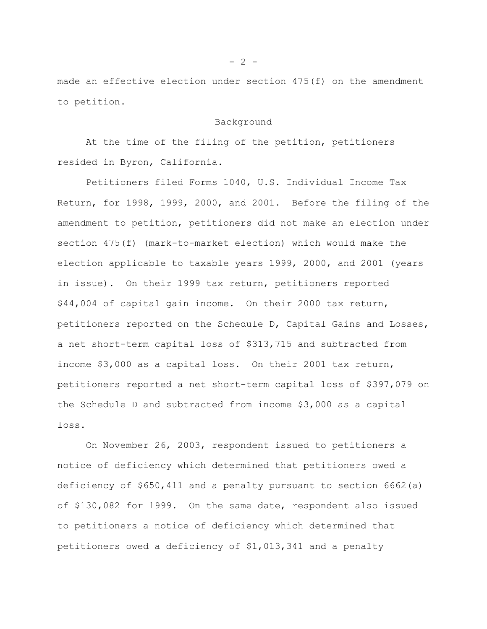made an effective election under section 475(f) on the amendment to petition.

## Background

At the time of the filing of the petition, petitioners resided in Byron, California.

Petitioners filed Forms 1040, U.S. Individual Income Tax Return, for 1998, 1999, 2000, and 2001. Before the filing of the amendment to petition, petitioners did not make an election under section 475(f) (mark-to-market election) which would make the election applicable to taxable years 1999, 2000, and 2001 (years in issue). On their 1999 tax return, petitioners reported \$44,004 of capital gain income. On their 2000 tax return, petitioners reported on the Schedule D, Capital Gains and Losses, a net short-term capital loss of \$313,715 and subtracted from income \$3,000 as a capital loss. On their 2001 tax return, petitioners reported a net short-term capital loss of \$397,079 on the Schedule D and subtracted from income \$3,000 as a capital loss.

On November 26, 2003, respondent issued to petitioners a notice of deficiency which determined that petitioners owed a deficiency of \$650,411 and a penalty pursuant to section 6662(a) of \$130,082 for 1999. On the same date, respondent also issued to petitioners a notice of deficiency which determined that petitioners owed a deficiency of \$1,013,341 and a penalty

 $- 2 -$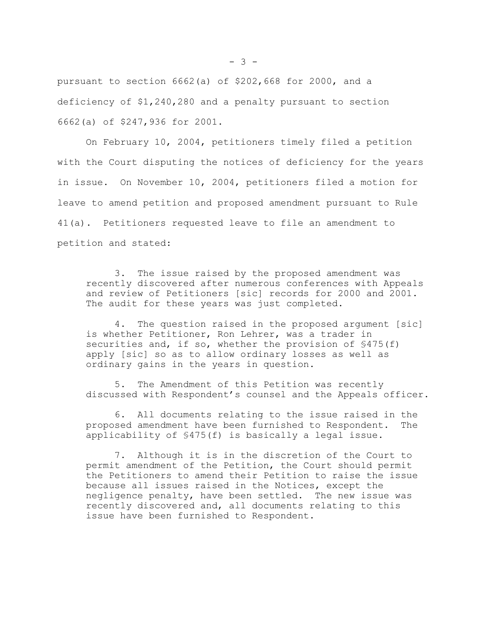pursuant to section 6662(a) of \$202,668 for 2000, and a deficiency of \$1,240,280 and a penalty pursuant to section 6662(a) of \$247,936 for 2001.

On February 10, 2004, petitioners timely filed a petition with the Court disputing the notices of deficiency for the years in issue. On November 10, 2004, petitioners filed a motion for leave to amend petition and proposed amendment pursuant to Rule 41(a). Petitioners requested leave to file an amendment to petition and stated:

3. The issue raised by the proposed amendment was recently discovered after numerous conferences with Appeals and review of Petitioners [sic] records for 2000 and 2001. The audit for these years was just completed.

4. The question raised in the proposed argument [sic] is whether Petitioner, Ron Lehrer, was a trader in securities and, if so, whether the provision of \$475(f) apply [sic] so as to allow ordinary losses as well as ordinary gains in the years in question.

5. The Amendment of this Petition was recently discussed with Respondent's counsel and the Appeals officer.

6. All documents relating to the issue raised in the proposed amendment have been furnished to Respondent. The applicability of §475(f) is basically a legal issue.

7. Although it is in the discretion of the Court to permit amendment of the Petition, the Court should permit the Petitioners to amend their Petition to raise the issue because all issues raised in the Notices, except the negligence penalty, have been settled. The new issue was recently discovered and, all documents relating to this issue have been furnished to Respondent.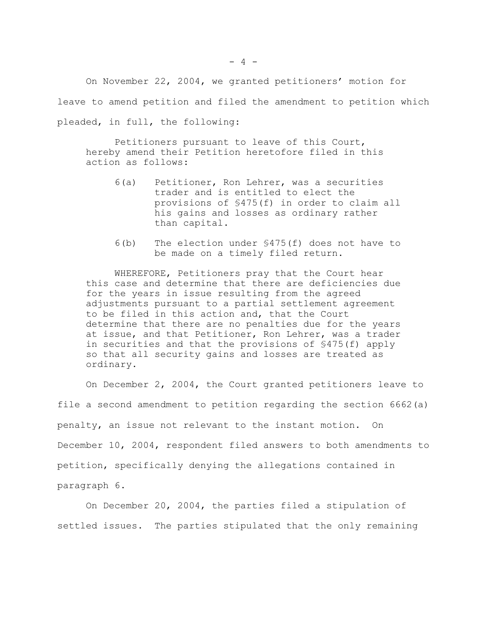On November 22, 2004, we granted petitioners' motion for leave to amend petition and filed the amendment to petition which pleaded, in full, the following:

Petitioners pursuant to leave of this Court, hereby amend their Petition heretofore filed in this action as follows:

- 6(a) Petitioner, Ron Lehrer, was a securities trader and is entitled to elect the provisions of §475(f) in order to claim all his gains and losses as ordinary rather than capital.
- 6(b) The election under §475(f) does not have to be made on a timely filed return.

WHEREFORE, Petitioners pray that the Court hear this case and determine that there are deficiencies due for the years in issue resulting from the agreed adjustments pursuant to a partial settlement agreement to be filed in this action and, that the Court determine that there are no penalties due for the years at issue, and that Petitioner, Ron Lehrer, was a trader in securities and that the provisions of §475(f) apply so that all security gains and losses are treated as ordinary.

On December 2, 2004, the Court granted petitioners leave to file a second amendment to petition regarding the section 6662(a) penalty, an issue not relevant to the instant motion. On December 10, 2004, respondent filed answers to both amendments to petition, specifically denying the allegations contained in paragraph 6.

On December 20, 2004, the parties filed a stipulation of settled issues. The parties stipulated that the only remaining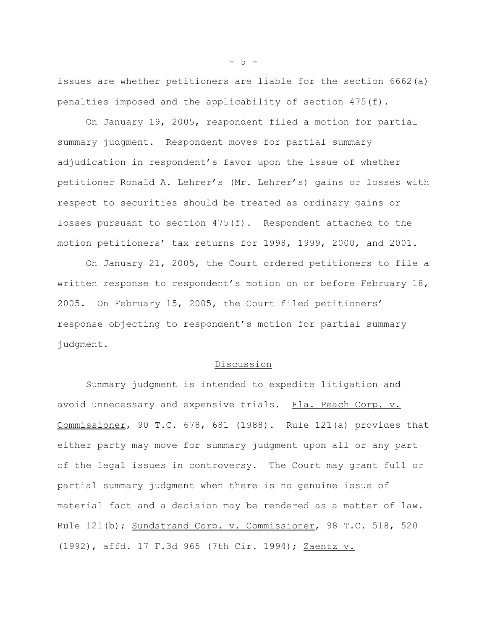issues are whether petitioners are liable for the section 6662(a) penalties imposed and the applicability of section 475(f).

On January 19, 2005, respondent filed a motion for partial summary judgment. Respondent moves for partial summary adjudication in respondent's favor upon the issue of whether petitioner Ronald A. Lehrer's (Mr. Lehrer's) gains or losses with respect to securities should be treated as ordinary gains or losses pursuant to section 475(f). Respondent attached to the motion petitioners' tax returns for 1998, 1999, 2000, and 2001.

On January 21, 2005, the Court ordered petitioners to file a written response to respondent's motion on or before February 18, 2005. On February 15, 2005, the Court filed petitioners' response objecting to respondent's motion for partial summary judgment.

## Discussion

Summary judgment is intended to expedite litigation and avoid unnecessary and expensive trials. Fla. Peach Corp. v. Commissioner, 90 T.C. 678, 681 (1988). Rule 121(a) provides that either party may move for summary judgment upon all or any part of the legal issues in controversy. The Court may grant full or partial summary judgment when there is no genuine issue of material fact and a decision may be rendered as a matter of law. Rule 121(b); Sundstrand Corp. v. Commissioner, 98 T.C. 518, 520 (1992), affd. 17 F.3d 965 (7th Cir. 1994); Zaentz v.

 $-5 -$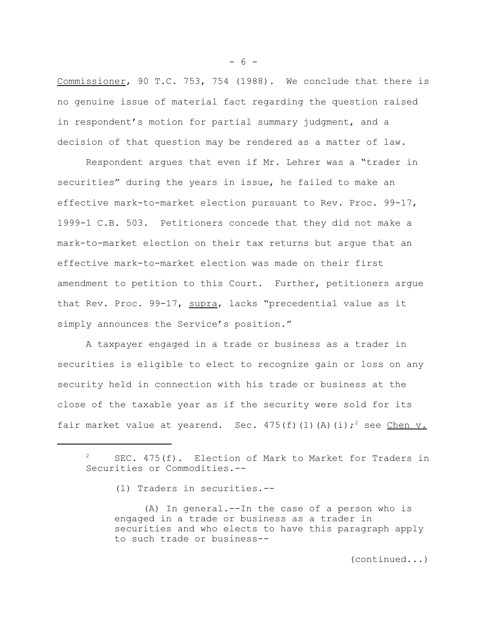Commissioner, 90 T.C. 753, 754 (1988). We conclude that there is no genuine issue of material fact regarding the question raised in respondent's motion for partial summary judgment, and a decision of that question may be rendered as a matter of law.

Respondent argues that even if Mr. Lehrer was a "trader in securities" during the years in issue, he failed to make an effective mark-to-market election pursuant to Rev. Proc. 99-17, 1999-1 C.B. 503. Petitioners concede that they did not make a mark-to-market election on their tax returns but argue that an effective mark-to-market election was made on their first amendment to petition to this Court. Further, petitioners argue that Rev. Proc. 99-17, supra, lacks "precedential value as it simply announces the Service's position."

A taxpayer engaged in a trade or business as a trader in securities is eligible to elect to recognize gain or loss on any security held in connection with his trade or business at the close of the taxable year as if the security were sold for its fair market value at yearend. Sec.  $475(f)(1)(A)(i);^2$  see Chen v.

(1) Traders in securities.--

(A) In general.--In the case of a person who is engaged in a trade or business as a trader in securities and who elects to have this paragraph apply to such trade or business--

- 6 -

<sup>&</sup>lt;sup>2</sup> SEC. 475(f). Election of Mark to Market for Traders in Securities or Commodities.--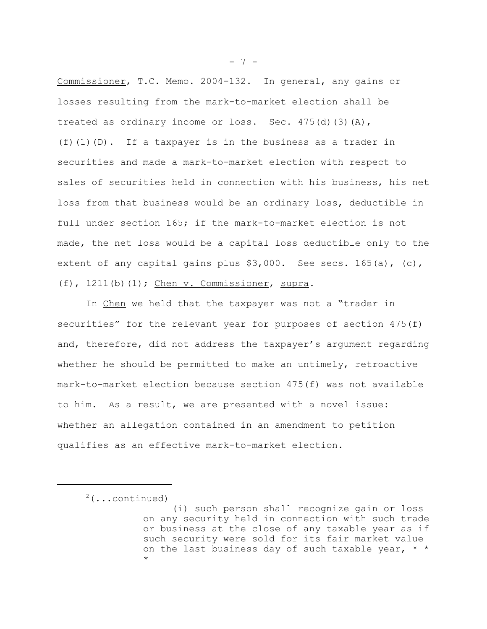Commissioner, T.C. Memo. 2004-132. In general, any gains or losses resulting from the mark-to-market election shall be treated as ordinary income or loss. Sec. 475(d)(3)(A),  $(f)$ (1)(D). If a taxpayer is in the business as a trader in securities and made a mark-to-market election with respect to sales of securities held in connection with his business, his net loss from that business would be an ordinary loss, deductible in full under section 165; if the mark-to-market election is not made, the net loss would be a capital loss deductible only to the extent of any capital gains plus  $$3,000$ . See secs. 165(a), (c), (f), 1211(b)(1); Chen v. Commissioner, supra.

In Chen we held that the taxpayer was not a "trader in securities" for the relevant year for purposes of section 475(f) and, therefore, did not address the taxpayer's argument regarding whether he should be permitted to make an untimely, retroactive mark-to-market election because section 475(f) was not available to him. As a result, we are presented with a novel issue: whether an allegation contained in an amendment to petition qualifies as an effective mark-to-market election.

- 7 -

 $2$ (...continued)

<sup>(</sup>i) such person shall recognize gain or loss on any security held in connection with such trade or business at the close of any taxable year as if such security were sold for its fair market value on the last business day of such taxable year,  $*$ \*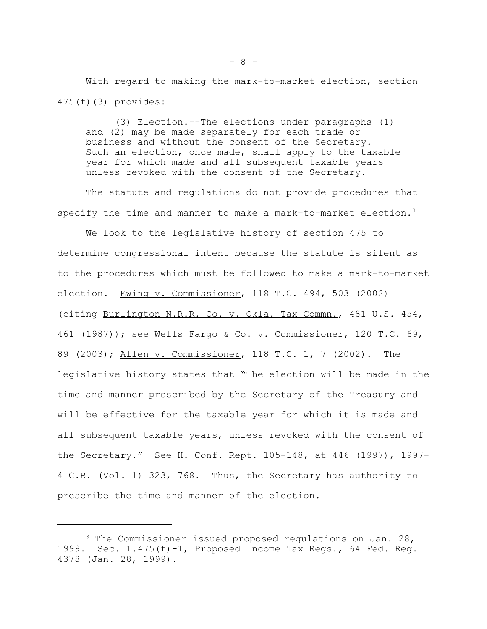With regard to making the mark-to-market election, section 475(f)(3) provides:

(3) Election.--The elections under paragraphs (1) and (2) may be made separately for each trade or business and without the consent of the Secretary. Such an election, once made, shall apply to the taxable year for which made and all subsequent taxable years unless revoked with the consent of the Secretary.

The statute and regulations do not provide procedures that specify the time and manner to make a mark-to-market election. $3$ 

We look to the legislative history of section 475 to determine congressional intent because the statute is silent as to the procedures which must be followed to make a mark-to-market election. Ewing v. Commissioner, 118 T.C. 494, 503 (2002) (citing Burlington N.R.R. Co. v. Okla. Tax Commn., 481 U.S. 454, 461 (1987)); see Wells Fargo & Co. v. Commissioner, 120 T.C. 69, 89 (2003); Allen v. Commissioner, 118 T.C. 1, 7 (2002). The legislative history states that "The election will be made in the time and manner prescribed by the Secretary of the Treasury and will be effective for the taxable year for which it is made and all subsequent taxable years, unless revoked with the consent of the Secretary." See H. Conf. Rept. 105-148, at 446 (1997), 1997- 4 C.B. (Vol. 1) 323, 768. Thus, the Secretary has authority to prescribe the time and manner of the election.

 $3$  The Commissioner issued proposed regulations on Jan. 28, 1999. Sec. 1.475(f)-1, Proposed Income Tax Regs., 64 Fed. Reg. 4378 (Jan. 28, 1999).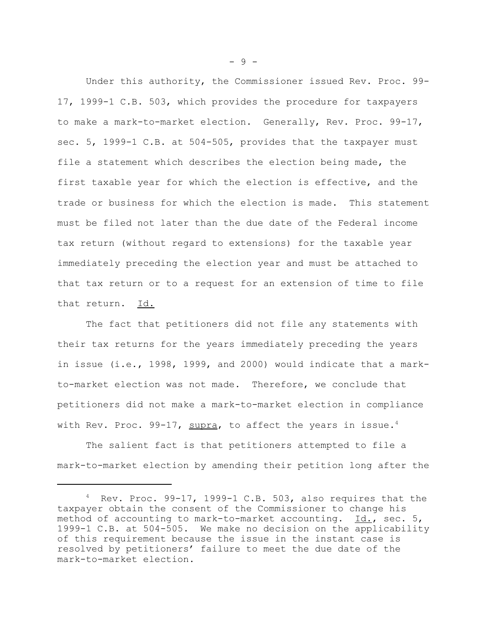Under this authority, the Commissioner issued Rev. Proc. 99- 17, 1999-1 C.B. 503, which provides the procedure for taxpayers to make a mark-to-market election. Generally, Rev. Proc. 99-17, sec. 5, 1999-1 C.B. at 504-505, provides that the taxpayer must file a statement which describes the election being made, the first taxable year for which the election is effective, and the trade or business for which the election is made. This statement must be filed not later than the due date of the Federal income tax return (without regard to extensions) for the taxable year immediately preceding the election year and must be attached to that tax return or to a request for an extension of time to file that return. Id.

The fact that petitioners did not file any statements with their tax returns for the years immediately preceding the years in issue (i.e., 1998, 1999, and 2000) would indicate that a markto-market election was not made. Therefore, we conclude that petitioners did not make a mark-to-market election in compliance with Rev. Proc. 99-17,  $\frac{\text{supra}}{\text{supra}}$ , to affect the years in issue.<sup>4</sup>

The salient fact is that petitioners attempted to file a mark-to-market election by amending their petition long after the

 $-9 -$ 

 $4$  Rev. Proc. 99-17, 1999-1 C.B. 503, also requires that the taxpayer obtain the consent of the Commissioner to change his method of accounting to mark-to-market accounting. Id., sec. 5, 1999-1 C.B. at 504-505. We make no decision on the applicability of this requirement because the issue in the instant case is resolved by petitioners' failure to meet the due date of the mark-to-market election.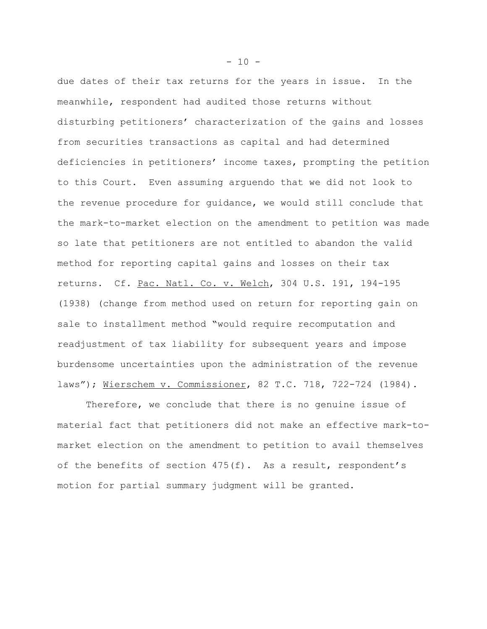due dates of their tax returns for the years in issue. In the meanwhile, respondent had audited those returns without disturbing petitioners' characterization of the gains and losses from securities transactions as capital and had determined deficiencies in petitioners' income taxes, prompting the petition to this Court. Even assuming arguendo that we did not look to the revenue procedure for guidance, we would still conclude that the mark-to-market election on the amendment to petition was made so late that petitioners are not entitled to abandon the valid method for reporting capital gains and losses on their tax returns. Cf. Pac. Natl. Co. v. Welch, 304 U.S. 191, 194-195 (1938) (change from method used on return for reporting gain on sale to installment method "would require recomputation and readjustment of tax liability for subsequent years and impose burdensome uncertainties upon the administration of the revenue laws"); Wierschem v. Commissioner, 82 T.C. 718, 722-724 (1984).

Therefore, we conclude that there is no genuine issue of material fact that petitioners did not make an effective mark-tomarket election on the amendment to petition to avail themselves of the benefits of section  $475(f)$ . As a result, respondent's motion for partial summary judgment will be granted.

 $- 10 -$